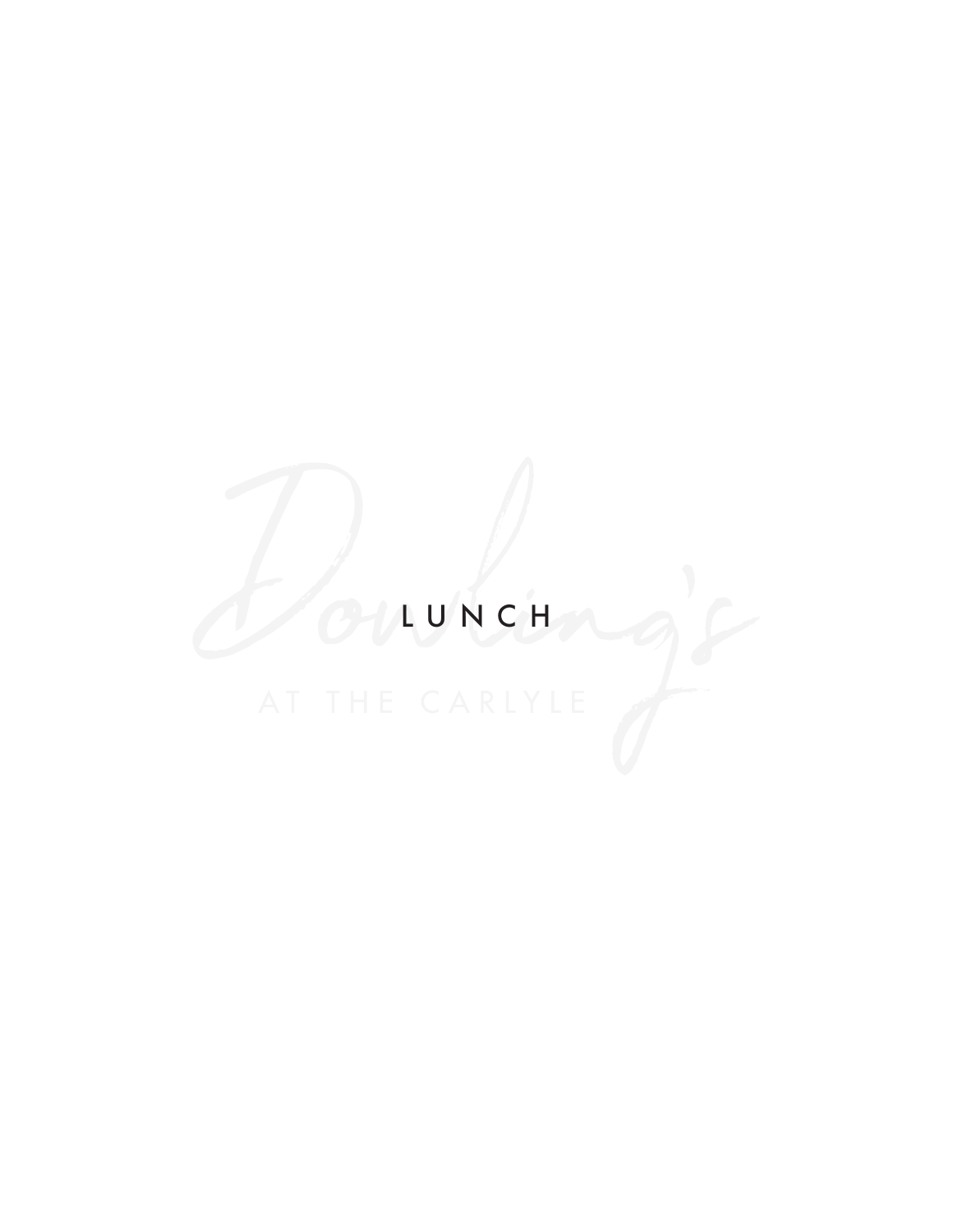# LUNCH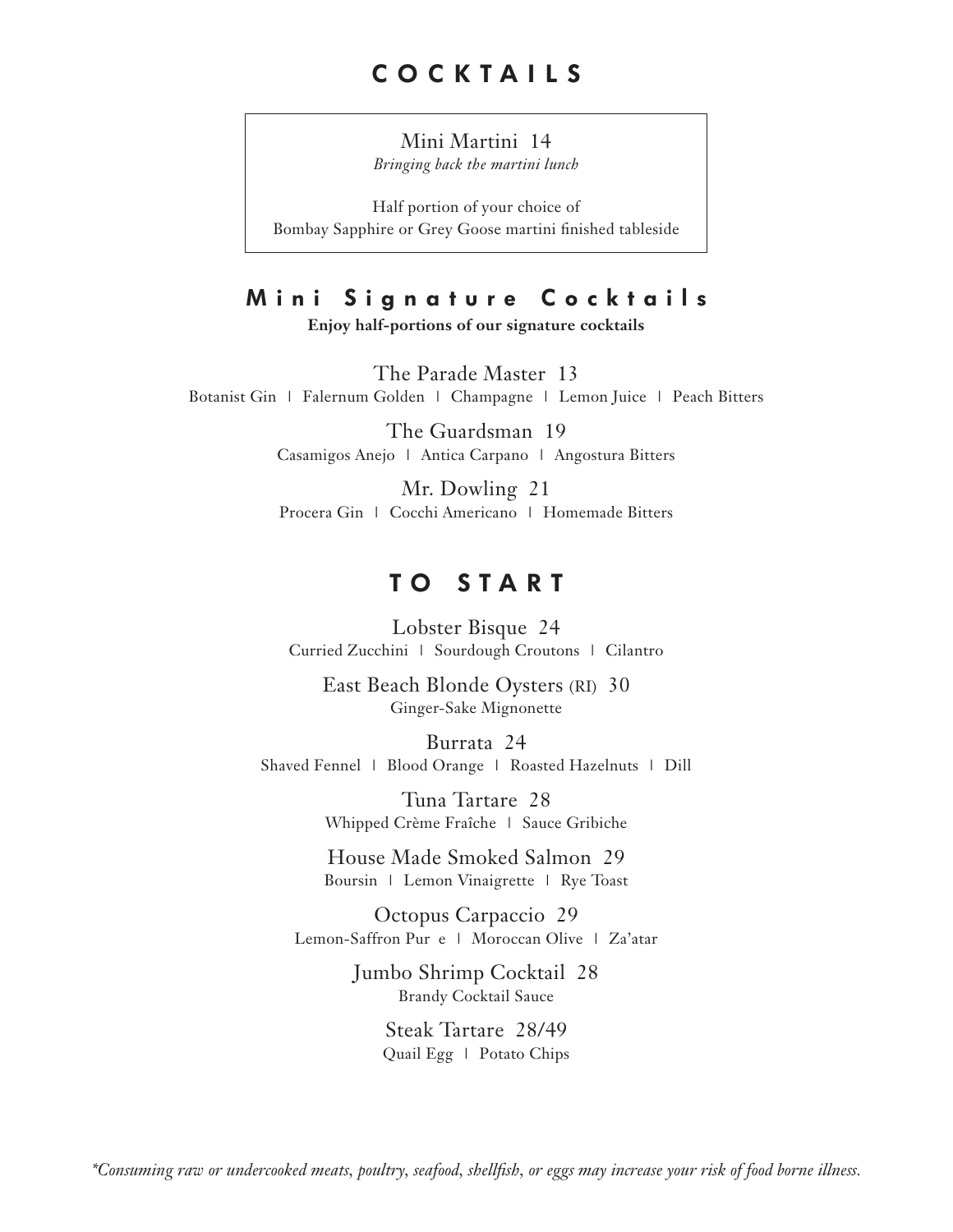## Mini Martini 14

*Bringing back the martini lunch* 

Half portion of your choice of Bombay Sapphire or Grey Goose martini finished tableside

# **Mini Signature Cocktails**

**Enjoy half-portions of our signature cocktails** 

The Parade Master 13 Botanist Gin | Falernum Golden | Champagne | Lemon Juice | Peach Bitters

> The Guardsman 19 Casamigos Anejo | Antica Carpano | Angostura Bitters

> Mr. Dowling 21 Procera Gin | Cocchi Americano | Homemade Bitters

# **TO START**

Lobster Bisque 24 Curried Zucchini | Sourdough Croutons | Cilantro

East Beach Blonde Oysters (RI) 30 Ginger-Sake Mignonette

Burrata 24 Shaved Fennel | Blood Orange | Roasted Hazelnuts | Dill

> Tuna Tartare 28 Whipped Crème Fraîche | Sauce Gribiche

> House Made Smoked Salmon 29 Boursin | Lemon Vinaigrette | Rye Toast

Octopus Carpaccio 29 Lemon-Saffron Pur e | Moroccan Olive | Za'atar

> Jumbo Shrimp Cocktail 28 Brandy Cocktail Sauce

> > Steak Tartare 28/49 Quail Egg | Potato Chips

*\*Consuming raw or undercooked meats, poultry, seafood, shellfish, or eggs may increase your risk of food borne illness.*